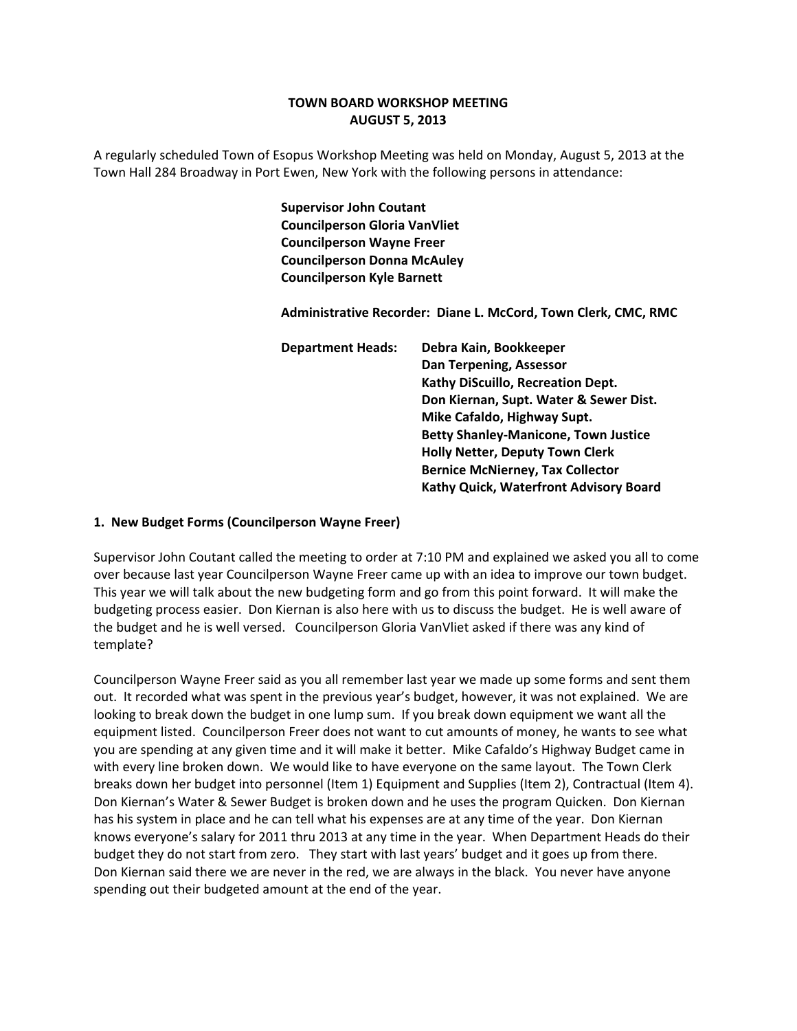# **TOWN BOARD WORKSHOP MEETING AUGUST 5, 2013**

A regularly scheduled Town of Esopus Workshop Meeting was held on Monday, August 5, 2013 at the Town Hall 284 Broadway in Port Ewen, New York with the following persons in attendance:

> **Supervisor John Coutant Councilperson Gloria VanVliet Councilperson Wayne Freer Councilperson Donna McAuley Councilperson Kyle Barnett**

 **Administrative Recorder: Diane L. McCord, Town Clerk, CMC, RMC**

 **Department Heads: Debra Kain, Bookkeeper Dan Terpening, Assessor Kathy DiScuillo, Recreation Dept. Don Kiernan, Supt. Water & Sewer Dist. Mike Cafaldo, Highway Supt. Betty Shanley‐Manicone, Town Justice Holly Netter, Deputy Town Clerk Bernice McNierney, Tax Collector Kathy Quick, Waterfront Advisory Board**

## **1. New Budget Forms (Councilperson Wayne Freer)**

Supervisor John Coutant called the meeting to order at 7:10 PM and explained we asked you all to come over because last year Councilperson Wayne Freer came up with an idea to improve our town budget. This year we will talk about the new budgeting form and go from this point forward. It will make the budgeting process easier. Don Kiernan is also here with us to discuss the budget. He is well aware of the budget and he is well versed. Councilperson Gloria VanVliet asked if there was any kind of template?

Councilperson Wayne Freer said as you all remember last year we made up some forms and sent them out. It recorded what was spent in the previous year's budget, however, it was not explained. We are looking to break down the budget in one lump sum. If you break down equipment we want all the equipment listed. Councilperson Freer does not want to cut amounts of money, he wants to see what you are spending at any given time and it will make it better. Mike Cafaldo's Highway Budget came in with every line broken down. We would like to have everyone on the same layout. The Town Clerk breaks down her budget into personnel (Item 1) Equipment and Supplies (Item 2), Contractual (Item 4). Don Kiernan's Water & Sewer Budget is broken down and he uses the program Quicken. Don Kiernan has his system in place and he can tell what his expenses are at any time of the year. Don Kiernan knows everyone's salary for 2011 thru 2013 at any time in the year. When Department Heads do their budget they do not start from zero. They start with last years' budget and it goes up from there. Don Kiernan said there we are never in the red, we are always in the black. You never have anyone spending out their budgeted amount at the end of the year.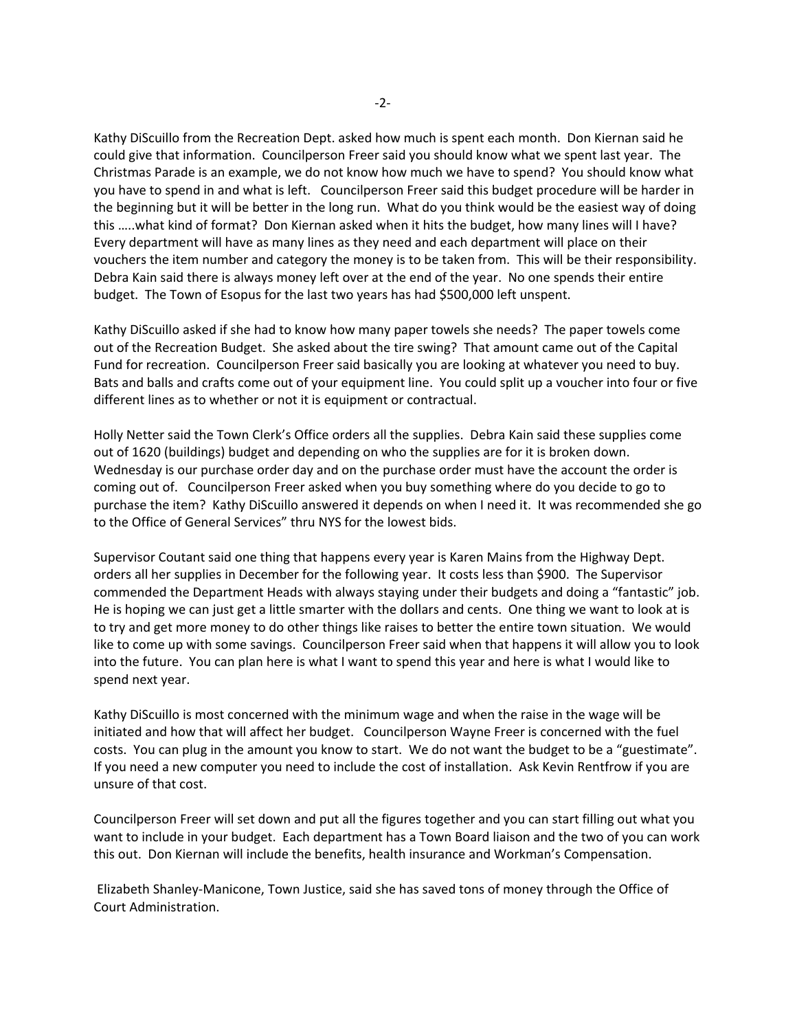Kathy DiScuillo from the Recreation Dept. asked how much is spent each month. Don Kiernan said he could give that information. Councilperson Freer said you should know what we spent last year. The Christmas Parade is an example, we do not know how much we have to spend? You should know what you have to spend in and what is left. Councilperson Freer said this budget procedure will be harder in the beginning but it will be better in the long run. What do you think would be the easiest way of doing this …..what kind of format? Don Kiernan asked when it hits the budget, how many lines will I have? Every department will have as many lines as they need and each department will place on their vouchers the item number and category the money is to be taken from. This will be their responsibility. Debra Kain said there is always money left over at the end of the year. No one spends their entire budget. The Town of Esopus for the last two years has had \$500,000 left unspent.

Kathy DiScuillo asked if she had to know how many paper towels she needs? The paper towels come out of the Recreation Budget. She asked about the tire swing? That amount came out of the Capital Fund for recreation. Councilperson Freer said basically you are looking at whatever you need to buy. Bats and balls and crafts come out of your equipment line. You could split up a voucher into four or five different lines as to whether or not it is equipment or contractual.

Holly Netter said the Town Clerk's Office orders all the supplies. Debra Kain said these supplies come out of 1620 (buildings) budget and depending on who the supplies are for it is broken down. Wednesday is our purchase order day and on the purchase order must have the account the order is coming out of. Councilperson Freer asked when you buy something where do you decide to go to purchase the item? Kathy DiScuillo answered it depends on when I need it. It was recommended she go to the Office of General Services" thru NYS for the lowest bids.

Supervisor Coutant said one thing that happens every year is Karen Mains from the Highway Dept. orders all her supplies in December for the following year. It costs less than \$900. The Supervisor commended the Department Heads with always staying under their budgets and doing a "fantastic" job. He is hoping we can just get a little smarter with the dollars and cents. One thing we want to look at is to try and get more money to do other things like raises to better the entire town situation. We would like to come up with some savings. Councilperson Freer said when that happens it will allow you to look into the future. You can plan here is what I want to spend this year and here is what I would like to spend next year.

Kathy DiScuillo is most concerned with the minimum wage and when the raise in the wage will be initiated and how that will affect her budget. Councilperson Wayne Freer is concerned with the fuel costs. You can plug in the amount you know to start. We do not want the budget to be a "guestimate". If you need a new computer you need to include the cost of installation. Ask Kevin Rentfrow if you are unsure of that cost.

Councilperson Freer will set down and put all the figures together and you can start filling out what you want to include in your budget. Each department has a Town Board liaison and the two of you can work this out. Don Kiernan will include the benefits, health insurance and Workman's Compensation.

Elizabeth Shanley‐Manicone, Town Justice, said she has saved tons of money through the Office of Court Administration.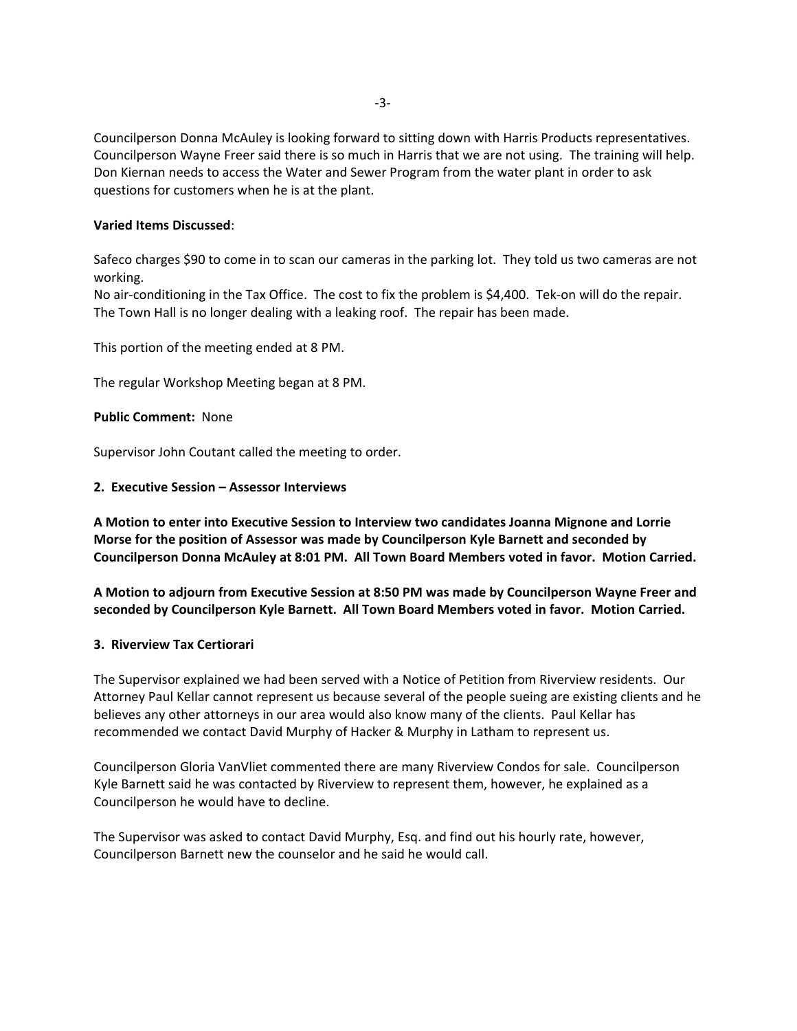Councilperson Donna McAuley is looking forward to sitting down with Harris Products representatives. Councilperson Wayne Freer said there is so much in Harris that we are not using. The training will help. Don Kiernan needs to access the Water and Sewer Program from the water plant in order to ask questions for customers when he is at the plant.

### **Varied Items Discussed**:

Safeco charges \$90 to come in to scan our cameras in the parking lot. They told us two cameras are not working.

No air‐conditioning in the Tax Office. The cost to fix the problem is \$4,400. Tek‐on will do the repair. The Town Hall is no longer dealing with a leaking roof. The repair has been made.

This portion of the meeting ended at 8 PM.

The regular Workshop Meeting began at 8 PM.

### **Public Comment: None**

Supervisor John Coutant called the meeting to order.

### **2. Executive Session – Assessor Interviews**

**A Motion to enter into Executive Session to Interview two candidates Joanna Mignone and Lorrie Morse for the position of Assessor was made by Councilperson Kyle Barnett and seconded by Councilperson Donna McAuley at 8:01 PM. All Town Board Members voted in favor. Motion Carried.**

**A Motion to adjourn from Executive Session at 8:50 PM was made by Councilperson Wayne Freer and seconded by Councilperson Kyle Barnett. All Town Board Members voted in favor. Motion Carried.**

### **3. Riverview Tax Certiorari**

The Supervisor explained we had been served with a Notice of Petition from Riverview residents. Our Attorney Paul Kellar cannot represent us because several of the people sueing are existing clients and he believes any other attorneys in our area would also know many of the clients. Paul Kellar has recommended we contact David Murphy of Hacker & Murphy in Latham to represent us.

Councilperson Gloria VanVliet commented there are many Riverview Condos for sale. Councilperson Kyle Barnett said he was contacted by Riverview to represent them, however, he explained as a Councilperson he would have to decline.

The Supervisor was asked to contact David Murphy, Esq. and find out his hourly rate, however, Councilperson Barnett new the counselor and he said he would call.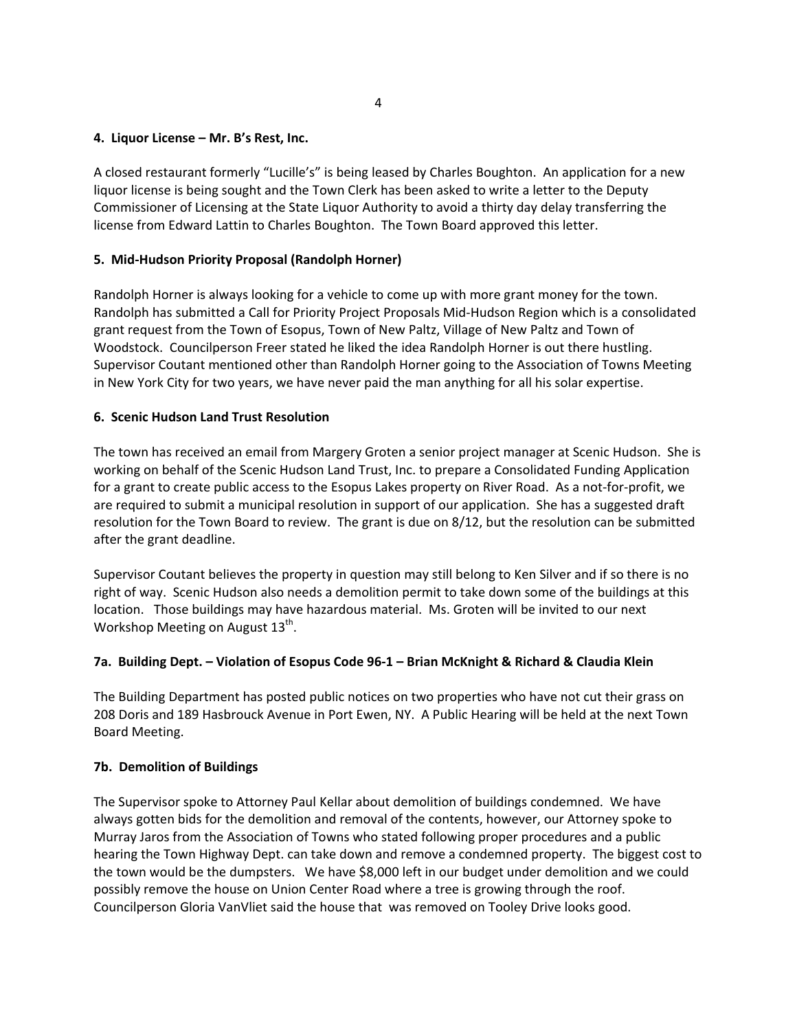### **4. Liquor License – Mr. B's Rest, Inc.**

A closed restaurant formerly "Lucille's" is being leased by Charles Boughton. An application for a new liquor license is being sought and the Town Clerk has been asked to write a letter to the Deputy Commissioner of Licensing at the State Liquor Authority to avoid a thirty day delay transferring the license from Edward Lattin to Charles Boughton. The Town Board approved this letter.

## **5. Mid‐Hudson Priority Proposal (Randolph Horner)**

Randolph Horner is always looking for a vehicle to come up with more grant money for the town. Randolph has submitted a Call for Priority Project Proposals Mid‐Hudson Region which is a consolidated grant request from the Town of Esopus, Town of New Paltz, Village of New Paltz and Town of Woodstock. Councilperson Freer stated he liked the idea Randolph Horner is out there hustling. Supervisor Coutant mentioned other than Randolph Horner going to the Association of Towns Meeting in New York City for two years, we have never paid the man anything for all his solar expertise.

## **6. Scenic Hudson Land Trust Resolution**

The town has received an email from Margery Groten a senior project manager at Scenic Hudson. She is working on behalf of the Scenic Hudson Land Trust, Inc. to prepare a Consolidated Funding Application for a grant to create public access to the Esopus Lakes property on River Road. As a not‐for‐profit, we are required to submit a municipal resolution in support of our application. She has a suggested draft resolution for the Town Board to review. The grant is due on 8/12, but the resolution can be submitted after the grant deadline.

Supervisor Coutant believes the property in question may still belong to Ken Silver and if so there is no right of way. Scenic Hudson also needs a demolition permit to take down some of the buildings at this location. Those buildings may have hazardous material. Ms. Groten will be invited to our next Workshop Meeting on August 13<sup>th</sup>.

## 7a. Building Dept. - Violation of Esopus Code 96-1 - Brian McKnight & Richard & Claudia Klein

The Building Department has posted public notices on two properties who have not cut their grass on 208 Doris and 189 Hasbrouck Avenue in Port Ewen, NY. A Public Hearing will be held at the next Town Board Meeting.

### **7b. Demolition of Buildings**

The Supervisor spoke to Attorney Paul Kellar about demolition of buildings condemned. We have always gotten bids for the demolition and removal of the contents, however, our Attorney spoke to Murray Jaros from the Association of Towns who stated following proper procedures and a public hearing the Town Highway Dept. can take down and remove a condemned property. The biggest cost to the town would be the dumpsters. We have \$8,000 left in our budget under demolition and we could possibly remove the house on Union Center Road where a tree is growing through the roof. Councilperson Gloria VanVliet said the house that was removed on Tooley Drive looks good.